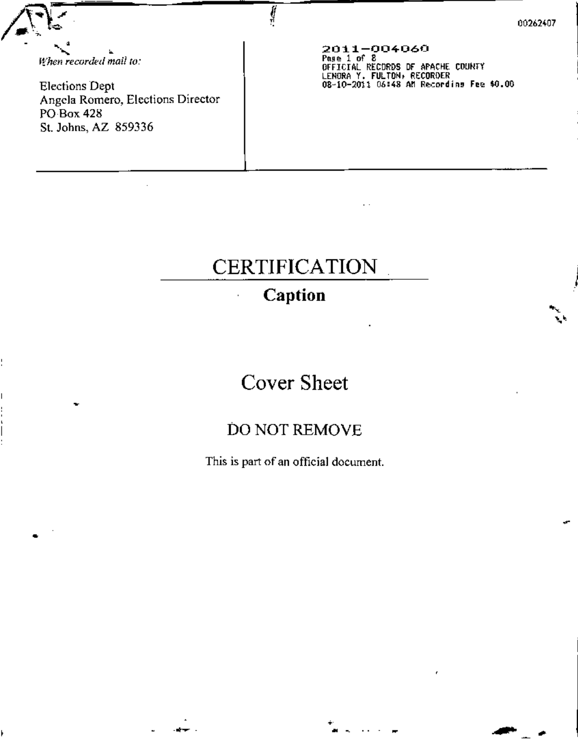When recorded mail to:

**Elections Dept** Angela Romero, Elections Director **PO Box 428** St. Johns, AZ 859336

 $2011 - 004060$ <br>Pase 1 of 8 DEFICIAL RECORDS OF APACHE COUNTY<br>LENGRA Y. FULTON, RECORDER<br>08-10-2011 06:48 AM Recording Fee \$0.00

# **CERTIFICATION**

## Caption

## **Cover Sheet**

## DO NOT REMOVE

This is part of an official document.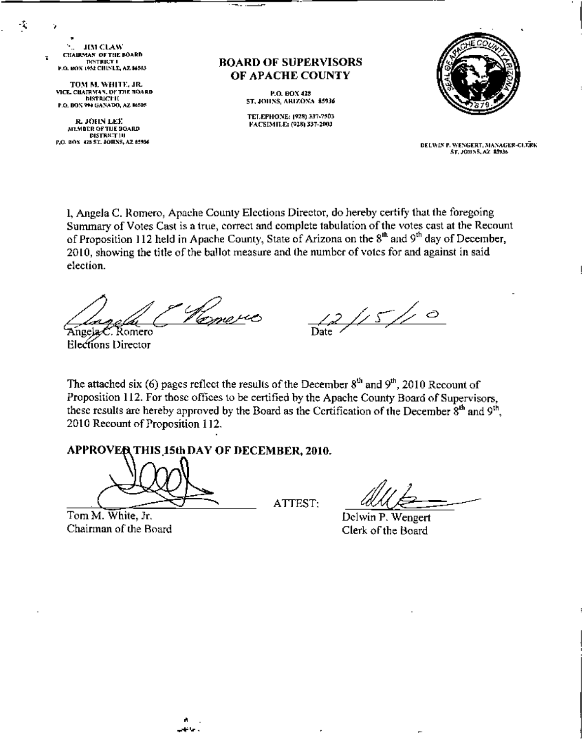**JIM CLAW CHAIRMAN OF THE BOARD DISTRICT I P.O. BOX 1952 CHINLE, AZ \$4503** 

-4

٠,

TOM M. WHITE, JR. VICE, CHAIRMAN, OF THE HOARD **DISTRICT II** P.O. BON 994 GANADO, AZ 14505

R. JOHN LEE MEMBER OF THE BOARD **DISTRET 10** P.O. BOX 423 ST. JOHNS, AZ 85536 **BOARD OF SUPERVISORS** OF APACHE COUNTY

> P.O. BOX 428 **5T, JOHNS, ARIZONA 85936**

TELEPHONE: (928) 337-7503 FACSIMILE: (928) 337-2003



DELWIN P. WENGERT, MANAGER-CUTRK ST. JOHNS, AZ. \$5936.

I, Angela C. Romero, Apache County Elections Director, do hereby certify that the foregoing Summary of Votes Cast is a true, correct and complete tabulation of the votes cast at the Recount of Proposition 112 held in Apache County, State of Arizona on the 8<sup>th</sup> and 9<sup>th</sup> day of December, 2010, showing the title of the ballot measure and the number of votes for and against in said election.

Romero Angela ${\cal C}$ 

Elections Director

 $2/15/10$ 

The attached six (6) pages reflect the results of the December  $8<sup>th</sup>$  and  $9<sup>th</sup>$ , 2010 Recount of Proposition 112. For those offices to be certified by the Apache County Board of Supervisors, these results are hereby approved by the Board as the Certification of the December 8<sup>th</sup> and 9<sup>th</sup>. 2010 Recount of Proposition 112.

#### APPROVER THIS 15th DAY OF DECEMBER, 2010.

Tom M. White, Jr. Chairman of the Board

ATTEST:

Delwin P. Wengert Clerk of the Board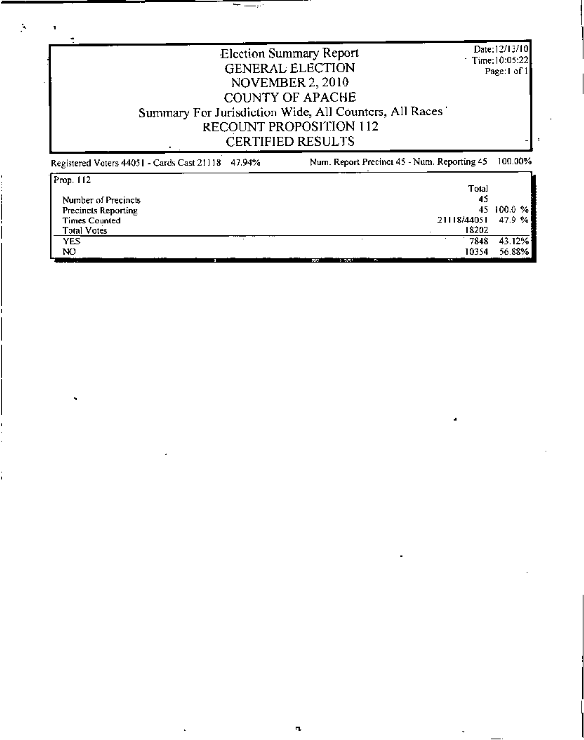|                                                   | <b>Election Summary Report</b><br><b>GENERAL ELECTION</b><br><b>NOVEMBER 2, 2010</b><br><b>COUNTY OF APACHE</b><br>Summary For Jurisdiction Wide, All Counters, All Races | Date: 12/13/10<br>$\pm$ Time: 10:05:22<br>Page: I of 1 |
|---------------------------------------------------|---------------------------------------------------------------------------------------------------------------------------------------------------------------------------|--------------------------------------------------------|
|                                                   | RECOUNT PROPOSITION 112<br><b>CERTIFIED RESULTS</b>                                                                                                                       |                                                        |
| Registered Voters 44051 - Cards Cast 21118 47.94% | Num. Report Precinct 45 - Num. Reporting 45                                                                                                                               | 100.00%                                                |

18202

 $\bar{\mathbf{v}}$ 

 $\frac{7848}{10354}$   $\frac{43.12\%}{56.88\%}$ 

Times Counted<br>Total Votes<br>YES  $NO$ **WE WANTED THE WAY TO BE IN THE** 

 $\overline{+1}$ 

 $\mathbf{r}_{\mathbf{L}}$ 

 $\epsilon$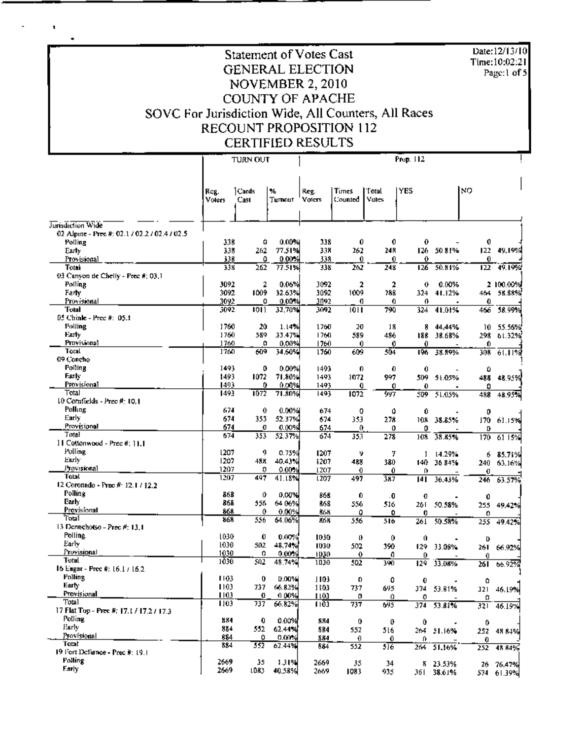**Statement of Votes Cast GENERAL ELECTION** NOVEMBER 2, 2010 **COUNTY OF APACHE** SOVC For Jurisdiction Wide, All Counters, All Races RECOUNT PROPOSITION 112 **CERTIFIED RESULTS** 

Date:12/13/10

Time:10:02:21

Page:1 of 5

 $\pmb{\cdot}$ 

 $\bullet$ 

|                                               | <b>TURN OUT</b>       |                 |              | Prop. 112      |                  |                  |                  |                        |           |                         |
|-----------------------------------------------|-----------------------|-----------------|--------------|----------------|------------------|------------------|------------------|------------------------|-----------|-------------------------|
|                                               |                       |                 |              |                |                  |                  |                  |                        |           |                         |
|                                               | Rcg.<br><b>Voters</b> | ] Cards<br>Cast | ₩<br>Turmout | Reg.<br>Voters | Times<br>Counted | Total<br>Vutes   | <b>YES</b>       |                        | NO        |                         |
|                                               |                       |                 |              |                |                  |                  |                  |                        |           |                         |
| Jurisdiction Wide                             |                       |                 |              |                |                  |                  |                  |                        |           |                         |
| 02 Alpine - Prec #: 02.1 / 02.2 / 02.4 / 02.5 | 338                   |                 | 0.00%        | 338            | 0                | 0                | 0                |                        | 0         |                         |
| Polling<br>Early                              | 338                   | o<br>262        | 77.51%       | 338            | 262              | 248              | 126              | 50 81%                 | 122       | 49,19%                  |
| Provisional                                   | 338                   | ٥               | 0.00%        | 338            | 0                | 0                | 0                |                        | 0         |                         |
| Total                                         | 338                   | 262             | 77.51%       | 338            | 262              | 248              | 126              | 50.81%                 | 122       | 49.19%                  |
| 03 Canvon de Chelly - Prec #: 03.1            |                       |                 |              |                |                  |                  |                  |                        |           |                         |
| Polling                                       | 3092                  | 2               | 0.06%        | 3092           | 2                | $\overline{2}$   | 0                | 0.00%                  |           | 2 100.00%               |
| Farty                                         | 3092                  | 1009            | 32.63%       | 3092           | 1009             | 788              | 324              | 41.32%                 | 464       | 58.88%                  |
| Provisional                                   | 3092                  | ٥               | 0.00%        | 3092           | O                | Ð                | ⇑                |                        | 0         |                         |
| Teat                                          | 3092                  | 1011            | 32,70%       | 1092           | 1011             | 790              | 324              | 41.01%                 | 466       | 58.99%                  |
| 05 Chinle - Prec #: 05.1<br>Polling           | 1760                  | 20              | 1.14%        |                |                  |                  |                  |                        |           |                         |
| Early                                         | 1760                  | 589             | 33.47%       | 1760<br>1760   | 20<br>589        | 18<br>486        | 8<br>188         | 44,44%<br>38.68%       | 10<br>298 | 55.56%<br>61.32%        |
| Provisional                                   | 1760                  | o               | 0.00%        | 1760           | 0                | 0                | 0                |                        | 0         |                         |
| Total                                         | 1760                  | 609             | 34.60%       | 1760           | 609              | 504              | 196              | 38.89%                 | 308       | 61.11%                  |
| 09 Concho                                     |                       |                 |              |                |                  |                  |                  |                        |           |                         |
| Polling                                       | 1493                  | 0               | 0.00%        | 1493           | 0                | 0                | 0                |                        | Û         |                         |
| Farly                                         | 1493                  | 1072            | 71.80%       | 1493           | 1072             | 997              | 509              | 51.05%                 | 485       | 48.95%                  |
| Provisional                                   | 1493                  | 0               | 0.00%        | 1493           | 0                | 0                | 0                |                        | 0         |                         |
| Total<br>10 Comfields - Prec #: 10.1          | 1493                  | 1072            | 71.80%       | 1493           | 1072             | 997              | 509              | 51.05%                 | 488       | 48.95%                  |
| Polling                                       | 674                   | 0               | 0.00%        |                |                  |                  |                  |                        |           |                         |
| Early                                         | 674                   | 353             | 52.37%       | 674<br>674     | 0<br>353         | û<br>278         | Û<br>108         | 38.85%                 | 0         |                         |
| Provisional                                   | 674                   | o               | 0.00%        | 674            | 0.               | 0                | 0                |                        | 170<br>D  | 61.15%                  |
| Total                                         | 674                   | 353             | 52.37%       | 674            | 353              | 278              | 108              | 38.85%                 | 170       | 61 15%                  |
| II Cottonwood - Prec #; 11.1                  |                       |                 |              |                |                  |                  |                  |                        |           |                         |
| Polling                                       | 1207                  | 9               | 0.75%        | 1207           | ł.               | 7                | 1                | 14.29%                 | 6         | 85.71%                  |
| Early                                         | 1207                  | 488             | 40.43%       | 1207           | 488              | 380              | 140              | 36 84%                 | 240       | 63.16%                  |
| Provisional                                   | 1207                  | 0               | 0.00%        | 1207           | 0                | 0.               | n                |                        | Ü         |                         |
| Total<br>12 Coronado - Prec # 12.1 / 12.2     | 1207                  | 497             | 41.18%       | 1207           | 497              | 387              | 141              | 36.43%                 | 246       | 63.57%                  |
| Polling                                       | 868                   | Û               | 0.00%        |                |                  |                  |                  |                        |           |                         |
| Earh                                          | 868                   | 556             | 64.06%       | 868<br>868     | 0.<br>556        | 0.<br>516        | O                |                        | 0         |                         |
| Provisional                                   | 861                   | 0               | $0.00\%$     | ß6B            | ٥                | ٥                | 261<br>0         | 50.58%                 | 255.<br>o | -49.42%                 |
| Tota1                                         | 863                   | 556             | 64.06%       | 66K            | 556              | 516              | 261              | 50.58%                 | 255       | 49.42%                  |
| 13 Dennehotso - Prec #: 13,1                  |                       |                 |              |                |                  |                  |                  |                        |           |                         |
| Polling                                       | 1030                  | Û               | 0.00%        | 1030           | 0                | 0                | 0                |                        | D         |                         |
| Early                                         | 1030                  | 502             | 48.74%       | 1030           | 502              | 390              | 129              | 33.08%                 |           | 261 66.92%              |
| Provisional<br>Total                          | 1030                  | o               | $0.00\%$     | 1030           | 0                | Đ                | 0                |                        | 0         |                         |
| 16 Eugar - Prec #: 16.1 / 16.2                | 1030                  | 502             | 48.74%       | 1030           | 502              | 390              | $\overline{129}$ | 33.08%                 | 261       | 66.92%                  |
| Polling                                       | 1103                  | 0               | 0.00%        |                |                  |                  |                  |                        |           |                         |
| Early                                         | 1103                  |                 | 737 66.82%   | 1103<br>1103   | 0.<br>737        | O<br>695         | 0.               | $\sim$                 | ۵         |                         |
| Provisional                                   | 1103                  | O               | 0.00%        | 1103           | 0                | 0                | O.               | 374 53.81%             | o         | 321 46.19%              |
| Total                                         | 1103                  | 737             | 66.82%       | 1103           | 737              | 695              |                  | 374 53.81%             |           | 321.46.19%              |
| 17 Flat Top - Prec #: 17.1 / 17.2 / 17.3      |                       |                 |              |                |                  |                  |                  |                        |           |                         |
| Polling                                       | 884                   | 0               | 0.00%        | 884            | 0                | 0                | 0                |                        | 0         |                         |
| Early                                         | 884                   | 552             | 62.44%       | 884            | 552              | 516              |                  | 264 51.16%             |           | 252 48 84%              |
| Provisional<br>Total                          | 884                   | ٥               | 0.00%        | 884            | 0.               | 0                | 0                |                        | 0.        |                         |
| 19 Fort Defiance - Prec #: 19.1               | 884                   | 552             | 62.44%       | 884            | 552              | $5\overline{16}$ |                  | $264 - 51.16%$         |           | 252 48 84%              |
| Polling                                       | 2669                  | 35              | 1.31%        | 2669           | 35               | 34               |                  |                        |           |                         |
| Early                                         | 2669                  | 1083            | 40.58%       | 2669           | 1083             | 935              |                  | 8 23.53%<br>361 38.61% |           | 26 76.47%<br>574 61.39% |
|                                               |                       |                 |              |                |                  |                  |                  |                        |           |                         |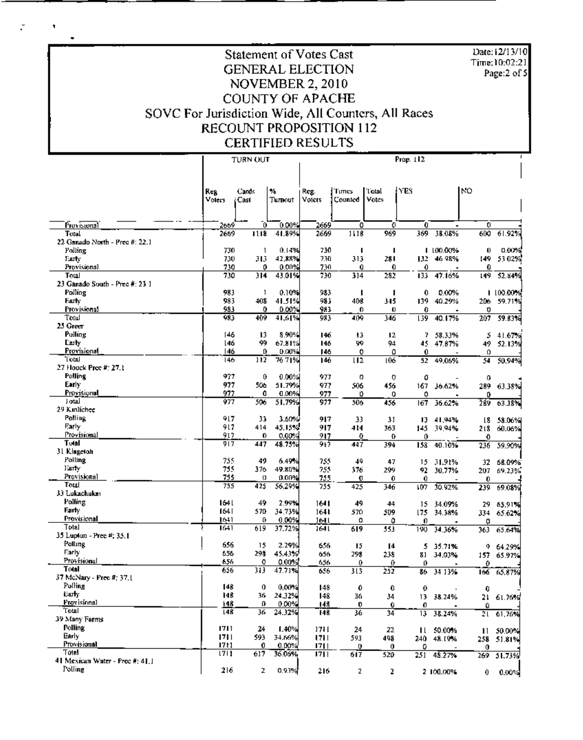Date: 12/13/10 Time:10:02:21 Page:2 of 5

## **Statement of Votes Cast GENERAL ELECTION** NOVEMBER 2, 2010 **COUNTY OF APACHE** SOVC For Jurisdiction Wide, All Counters, All Races RECOUNT PROPOSITION 112 **CERTIFIED RESULTS**

÷,

 $\blacksquare$ 

 $\ddot{\phantom{0}}$ 

|                                         |            | <b>TURN OUT</b> |                 | Prop. 112  |                  |                 |          |            |      |            |
|-----------------------------------------|------------|-----------------|-----------------|------------|------------------|-----------------|----------|------------|------|------------|
|                                         |            |                 |                 |            |                  |                 |          |            |      |            |
|                                         |            |                 |                 |            |                  |                 |          |            |      |            |
|                                         | <b>Reg</b> | Cards           | ٧,              | Reg.       | Times            | Total           | l YES    |            | NO   |            |
|                                         | Voters     | Cast            | Turnout         | Voiers     | Counted          | Votes           |          |            |      |            |
|                                         |            |                 |                 |            |                  |                 |          |            |      |            |
|                                         |            |                 |                 |            |                  |                 |          |            |      |            |
| Provisional                             | 2669       | 0               | $0.00\%$        | 2669       | o                | Ð               | 0        |            | 0    |            |
| Total                                   | 2669       | 1118            | 41.89%          | 2669       | 1118             | 969             | 369      | 38.08%     | 600  | 61.92%     |
| 22 Ganado North - Prec #: 22.1          |            |                 |                 |            |                  |                 |          |            |      |            |
| Polling                                 | 730        | 1               | 0.14%           | 730        | п                | п               |          | 1 100.00%  | 0    | 0.00%      |
| Early                                   | 730        | 313             | 42,88%          | 730        | 313              | 281             | 132.     | 46.98%     | 149  | 53 02%     |
| Provisional                             | 730        | 0               | 0.00%           | 730        | 0                | 0.              | 0        |            | 0    |            |
| Total<br>23 Ganado South - Prec #: 23 1 | 730        | 314             | 43.01%          | 730        | 314              | 282             | 133      | 47.16%     | 149  | 52.84%     |
| Polling                                 | 983        | ı               | 0.10%           | 983        | I                | ı               | 0        | 0.00%      |      | 1100.00%   |
| Farty                                   | 983        | 408             | 41.51%          | 981        | 408              | 345             | 139      | 40.29%     | 206  | 59.71%     |
| Provisional                             | 983        | 0               | 0.00%           | 983        | 0                | 0               | 0        |            | o    |            |
| Totul                                   | 983        | 409             | 41,61%          | 983        | 409              | 346             | 139      | 40.17%     | 207  | 59.83%     |
| 25 Green                                |            |                 |                 |            |                  |                 |          |            |      |            |
| Polling                                 | 146        | 13              | 8.90%           | 146        | 13               | 12              | 7        | 58.33%     | 5    | 41.67%     |
| Luty                                    | 146        | 99              | 67.81%          | 146        | ÿ9               | 94              | 45       | 47.87%     | 49   | 52.13%     |
| Provisional                             | 146        | Ú               | 0.00%           | 146        | 0                | 0               | 0        |            | 0    |            |
| Total                                   | 146        | 112             | 76.71%          | 146        | $\overline{112}$ | 106             | 52       | 49.06%     | 54   | 50.94%     |
| 27 Houck Pree #: 27.1                   |            |                 |                 |            |                  |                 |          |            |      |            |
| Polling                                 | 977        | 0               | 0.00%           | 977        | ο                | 0               | 0        |            | 0    |            |
| Early                                   | 977        | 506             | 51.79%          | 977        | 506              | 456             | 167      | 36.62%     |      | 289 63.38% |
| Provisional                             | 977        | 0               | 0.00%           | 977        | 0                | ٥               | 0        |            | 0    |            |
| Jotal                                   | 977        | 506             | 51.79%          | 977        | 506              | 456             | 167      | 36.62%     | 289  | 63.38%     |
| 29 Kinlichee                            |            |                 |                 |            |                  |                 |          |            |      |            |
| Polling                                 | 917        | 33              | 3.60%           | 917        | 33               | 31              | Ю        | 41,94%     | l8   | 58.06%     |
| Early<br>Provisional                    | 917        | 414             | 45.15%          | 917        | 414              | 363             | 145      | 39,94%     | 218  | 60.06%     |
| Total                                   | 917<br>917 | 0<br>447        | 0.00%<br>48.75% | 917<br>917 | 0                | Ð               | 0        |            | Û    |            |
| 31 Klagetoh                             |            |                 |                 |            | 447              | 394             | 158      | 40.10%     | 236  | 59.90%     |
| Polling                                 | 755        | 49              | 6.49%           | 755        | 49               | 47              |          | 31.91%     | 32   | 68.09%     |
| Early                                   | 755        | 376             | 49.00%          | 755        | 376              | 299             | 15<br>92 | 30.77%     | 207  | 69.23%     |
| Provisional                             | 755        | 0               | 0.00%           | 755        | $\mathbf 0$      | 0               | 0        |            | 0    |            |
| Total                                   | 755        | 425             | \$6.29%         | 755        | 425              | 346             | 107      | 30.92%     | 239  | 69.08%     |
| 33 Lukachukar                           |            |                 |                 |            |                  |                 |          |            |      |            |
| Polling                                 | 164 L      | 49              | 2.99%           | 1641       | 49               | 44              | 15       | 34.09%     | 29.  | -65.91%    |
| Farty                                   | 1641       | 570             | 34.73%          | 1641       | 570              | 509             | 175      | 34.38%     |      | 334 65.62% |
| Provisional                             | 1641       | o               | 0.00%           | 1641       | Ω                | 0               | 0        |            | 0    |            |
| IstoT                                   | 1641       | 619             | 37.72%          | 1641       | 619              | 553             | 190      | 34.36%     | 363  | 65.64%     |
| 35 Lupton - Prec #: 35.1                |            |                 |                 |            |                  |                 |          |            |      |            |
| Polling                                 | 656        | 15              | 2.29%           | 656        | 15               | 14              | 5.       | 35.71%     | 9    | 64.29%     |
| Early                                   | 656        | 298             | 45.43%          | 656        | 298              | 238             | 81       | 34,03%     | 157  | 65.97%     |
| Provisional<br>Total                    | 656<br>656 | o               | 0.00%           | 656        | 0                | 0               | o        |            | 0    |            |
| 37 McNary - Prec #; 37, J               |            | 313             | 47.71%          | 656        | 313              | 252             | 86       | 34 13%     | 166. | 65.87%     |
| Polling                                 | 148        | 0               | 0.00%           | 148        | 0                |                 |          |            |      |            |
| Larly.                                  | 148        | 36.             | 24.32%          | 148        | 36               | $\pmb{0}$<br>34 | 0        | 13 38.24%  | 0    | 21 61.76%  |
| Provisional                             | 148        | o               | 0.00%           | 148        | 0                | 0               | O        |            | Û    |            |
| 'l'otal                                 | 148        | 36.             | 24.32%          | 148        | 36               | 34              | 13       | 38.24%     |      | 21 61,76%  |
| 39 Many Farms                           |            |                 |                 |            |                  |                 |          |            |      |            |
| Polling                                 | 1711       | 24              | 1.40%           | 171 E      | 24               | 22              |          | 11 50.00%  |      | 11 50,00%  |
| Early                                   | 1711       | 593             | 34.66%          | 1711       | 593              | 498             |          | 240 48.19% |      | 258 51.81% |
| Provisional                             | 1711       | 0               | 0.00%           | 1711       | 0                | 0               | 0        |            | 0    |            |
| Toin!                                   | 1711       | 617             | 36.06%          | 1711       | 617              | 520             | 251      | 48.27%     |      | 269 51.73% |
| 41 Mexican Water - Prec #: 41.1         |            |                 |                 |            |                  |                 |          |            |      |            |
| Polling                                 | 216        | z               | 0.9.1%          | 216        | z                | 2               |          | 2 100.00%  | 0.   | 0.00%      |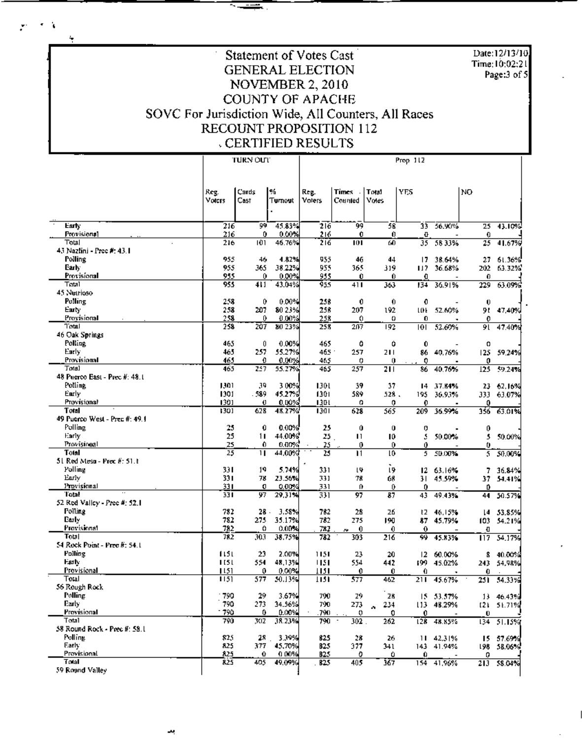Date:12/13/10 Time: 10:02:21 Page:3 of 5

## Statement of Votes Cast **GENERAL ELECTION** NOVEMBER 2, 2010 **COUNTY OF APACHE** SOVC For Jurisdiction Wide, All Counters, All Races RECOUNT PROPOSITION 112 **CERTIFIED RESULTS**

€ ¥

÷

|                                       |              | TURN OUT |                    | Prop 112        |                  |                       |                       |            |                  |            |  |
|---------------------------------------|--------------|----------|--------------------|-----------------|------------------|-----------------------|-----------------------|------------|------------------|------------|--|
|                                       |              |          |                    |                 |                  |                       |                       |            |                  |            |  |
|                                       | Reg.         | Cards    | 1%                 | Reg.            | Times I          | Total                 | <b>YES</b>            |            | NO.              |            |  |
|                                       | Voters       | Cast     | Turnout            | Voters          | Counted          | Votes                 |                       |            |                  |            |  |
| Early                                 | 216          | 99       | 45.83%             | 216             | 砢                | 58                    | 33                    | 56.90%     | 25               | 43.10%     |  |
| Provisional                           | 216          | 0        | 0.00%              | 216             | 0                | 0                     | O                     |            | 0                |            |  |
| Total<br>43 Nazlini - Prec #: 43.1    | 216          | 101      | 46.76%             | 216             | 101              | 60                    | 35                    | 5833%      | 25               | 41.67%     |  |
| Polling                               | 955          | 46       | 4.82%              | 955             | 46               | 44                    | 17                    | 38.64%     | 27               | 61.36%     |  |
| Early                                 | 955          | 365      | 38.22%             | 955             | 365              | 319                   | ШΣ                    | 36.68%     | 202              | 63.32%     |  |
| Provisional                           | 955          | 0        | 0.00%              | 955             | Û                | 0.                    | û                     |            | 0                |            |  |
| Total                                 | 955          | 411      | 43.04%             | 955             | 411              | 363                   | 134                   | 36.91%     | 229              | 63.09%     |  |
| 45 Nutrioso                           |              |          |                    |                 |                  |                       |                       |            |                  |            |  |
| Polling<br>Early                      | 258<br>258   | 0<br>207 | $0.00\%$<br>80 23% | 258<br>258      | 0<br>207         | 0<br>192              | 0<br>m                | 52.60%     | 0<br>91          | 47,40%     |  |
| Provisional                           | 258          | 0.       | 0.00%              | 258             | 0                | o                     | 0                     |            | o                |            |  |
| Total                                 | 258          | 207      | 80 23%             | 258             | 207              | 192                   | юг                    | 52.60%     | 91               | 47.40%     |  |
| 46 Oak Springs                        |              |          |                    |                 |                  |                       |                       |            |                  |            |  |
| Polling                               | 465          | 0        | 0.00%              | 465             | O                | Û                     | Û                     |            | Ω                |            |  |
| Early                                 | 465          | 257      | 55.27%             | 465.            | 257              | 211                   | 86                    | 40.76%     | 125              | 59.24%     |  |
| Provisional<br>Total                  | 465<br>465   | 0<br>257 | 0.00%<br>55.27%    | 465<br>465      | o<br>257         | 0<br>$\overline{211}$ | 0<br>86               | 40.76%     | 0<br>125         | 59.24%     |  |
| 48 Puerco East - Prec #: 48.1         |              |          |                    |                 |                  |                       |                       |            |                  |            |  |
| Polline                               | 1301         | 39       | 3 00%              | 1301            | 39               | 37                    | 14                    | 37.84%     |                  | 23 62.16%  |  |
| Early                                 | 1301         | . 589    | 45.27%             | 1301            | 589              | 528.                  | 195                   | 36.93%     |                  | 333 63.07% |  |
| Provisional                           | 1301         | Ü        | 0.00%              | 1301            | o                | 0                     | 0                     |            | 0                |            |  |
| Total                                 | 1301         | 628      | 48.27%             | 1301            | 628              | 565                   | 209                   | 36.99%     | 356              | 63.01%     |  |
| 49 Puerco West - Prec #: 49.1         |              |          |                    |                 |                  |                       |                       |            |                  |            |  |
| Polling<br>Early                      | 25<br>25     | 0<br>11  | 0.00%<br>44.00%    | 25<br>25.       | Û<br>п           | 0<br>10               | o<br>s                | 50.00%     | 0<br>5           |            |  |
| Provisional                           | 25           | 0.       | 0.00%              | 25              | 0                | 0                     | 0                     |            | 0                | 50.00%     |  |
| Total                                 | 25           | п        | 44,00%             | 25              | $\mathbf{H}$     | l0                    | 5                     | 50.00%     | 5                | 50.00%     |  |
| 51 Red Mesu - Prec #: 51.1            |              |          |                    |                 |                  |                       |                       |            |                  |            |  |
| Polling                               | 33 I         | 19       | 5.74%              | 331             | LŸ.              | 19                    | 12                    | 63.16%     | 7                | 36.84%     |  |
| Early<br>Provisional                  | 331          | 78       | 23.56%             | 331             | 78               | 68                    | 31.                   | 45.59%     | 37.              | -54.41%    |  |
| Total                                 | 331<br>33 I  | o<br>97  | 0.00%<br>29,31%    | 331<br>331      | 0<br>97          | 0<br>87               | 0<br>43               | 49.43%     | Ď<br>44          | 50.57%     |  |
| 52 Red Valley - Prec #: 52.1          |              |          |                    |                 |                  |                       |                       |            |                  |            |  |
| Polling                               | 782          | 28       | 3.58%              | 782             | 28               | 26                    | ŧZ                    | 46.15%     | t4.              | 53.85%     |  |
| Etriy                                 | 782          | 275      | 35.17%             | 782             | 275              | 190                   | 87                    | 45.79%     | 103              | 54.21%     |  |
| Provisional                           | 782          | ٥        | $0.00\%$           | 712             | $\mathbf 0$<br>× | 0                     | 0                     |            | Ð                |            |  |
| Total<br>54 Rock Point - Prec #: 54.1 | 782          | 303      | 38.75%             | 782             | 303              | 216                   | 99.                   | 45.83%     | $\overline{117}$ | 54.17%     |  |
| Polling                               | 1151         | 23       | 2.00%              | 1151            | 23               | 20                    | 12                    | 60.00%     | 8.               | 40.00%     |  |
| Fark                                  | 1151         | 554      | 48,13%             | 1151            | 554              | 442                   | 199                   | 45.02%     | 243.             | 54,98%     |  |
| Provisional                           | 15           | 0        | 0.00%              | 1151            | 0                | Û                     | Û                     |            | 0.               |            |  |
| Total                                 | 1151         | 577      | 50.13%             | 1151            | 577              | 462                   | 211                   | 45.67%     | 251              | 54.33%     |  |
| 56 Rough Rock                         |              |          |                    |                 |                  |                       |                       |            |                  |            |  |
| Polling                               | 790          | 29       | 3.67%              | 790             | 29               | 28                    |                       | 15 53.57%  |                  | 13 46.43%  |  |
| Early<br>Provisional                  | 790<br>- 790 | 273<br>٥ | 34.56%<br>0.00%    | 790<br>790      | 273<br>o         | 234                   |                       | 113 48.29% |                  | [2] 51.71% |  |
| Total                                 | 790          | 302      | 38.23%             | 790             | 302              | 0<br>262              | 0<br>$\overline{128}$ | 48.85%     | Ü<br>134         | 51.15%     |  |
| 58 Round Rock - Prec #: 58.1          |              |          |                    |                 |                  |                       |                       |            |                  |            |  |
| Polling                               | 825          | 28.,     | 3.39%              | 825             | 28               | 26                    |                       | 11.42,31%  |                  | 15 57.69%  |  |
| Early                                 | 825          | 377      | 45,70%             | <b>B25</b>      | 377              | 341                   |                       | 143 41.94% | 198              | 58.06%     |  |
| Provisional<br>Total                  | 825          | 0        | 0.00%              | B <sub>25</sub> | 0                | ٥                     | 0.                    |            | 0                |            |  |
| 59 Round Valley                       | 825          | 405      | 49.09%             | B25             | 405              | 367                   |                       | 154 41,96% | 213              | 58.04%     |  |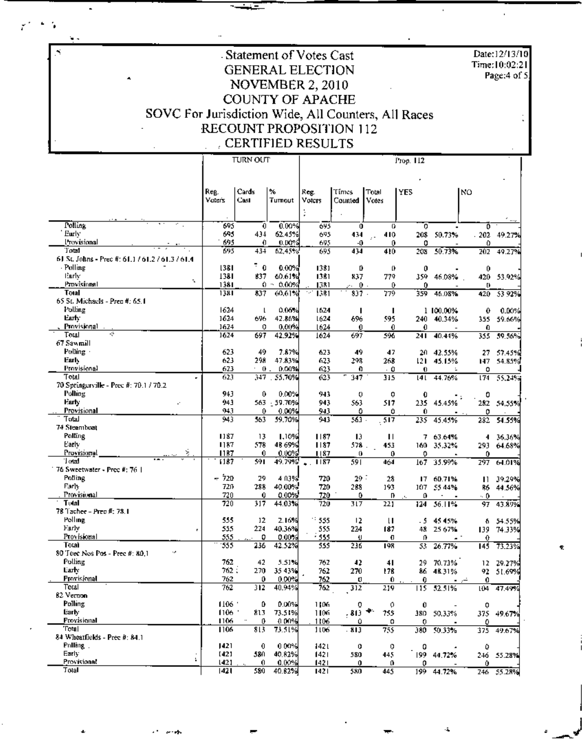-Statement of Votes Cast **GENERAL ELECTION** NOVEMBER 2, 2010 COUNTY OF APACHE SOVC For Jurisdiction Wide, All Counters, All Races RECOUNT PROPOSITION 112 , CERTIFIED RESULTS  $\frac{1}{2}$   $\frac{1}{2}$   $\frac{1}{2}$   $\frac{1}{2}$   $\frac{1}{2}$   $\frac{1}{2}$   $\frac{1}{2}$   $\frac{1}{2}$   $\frac{1}{2}$   $\frac{1}{2}$   $\frac{1}{2}$   $\frac{1}{2}$   $\frac{1}{2}$   $\frac{1}{2}$   $\frac{1}{2}$   $\frac{1}{2}$   $\frac{1}{2}$   $\frac{1}{2}$   $\frac{1}{2}$   $\frac{1}{2}$   $\frac{1}{2}$   $\frac{1}{2}$  Τ

 $\overline{a}$ 

٠.

÷.

×,

|                                                  | <b>TURN OUT</b> |                     |                  | Prop. 112     |          |                     |            |             |          |            |  |
|--------------------------------------------------|-----------------|---------------------|------------------|---------------|----------|---------------------|------------|-------------|----------|------------|--|
|                                                  |                 |                     |                  |               |          |                     |            |             |          |            |  |
|                                                  |                 |                     |                  |               |          |                     |            |             |          |            |  |
|                                                  |                 |                     |                  |               |          |                     |            |             |          |            |  |
|                                                  | Reg.            | Cards               | %                | Reg.          | Times    | Total               | <b>YES</b> |             | NO       |            |  |
|                                                  | Vuters          | Cast                | Tumout           | Voters        | Counted  | Votes               |            |             |          |            |  |
|                                                  |                 |                     |                  |               |          |                     |            |             |          |            |  |
| Polling                                          | 695             | $\mathbf 0$         | 0.00%            | 695           | 0        | 0                   | ō          |             | o        |            |  |
| ' Eurly                                          | 695             | 434                 | 62.45%           | 695           | 434      | 410                 | 208        | 50.73%      | 202      | 49.27%     |  |
| Provisional                                      | 695             | 0                   | 0.00%            | 695           | -0       | 0                   | 0          |             | 0        |            |  |
| Total                                            | 695             | 434                 | 62,45%           | 695           | 434      | 410                 | 208        | 50.73%      | 202      | 49.27%     |  |
| 61 St. Johns - Prec #: 61.1 / 61.2 / 61.3 / 61.4 |                 |                     |                  |               |          |                     |            |             |          |            |  |
| - Polling                                        | 1381            | $\bar{z}$ 0         | 0.00%            | 1381          | Ď        | 0                   | 0          |             | 0        |            |  |
| Early<br>÷.                                      | 1381            | 837                 | 60.61%           | 1381          | 837      | 779                 | 359        | 46.08%      |          | 420 53.92% |  |
| Provisional                                      | 1381            | Ω.                  | 0.00%<br>$\cdot$ | 1381          | ò.       | $\mathbf{0}$ .<br>0 | 0          |             | U.       |            |  |
| Total                                            | 1381            | 837                 | 60.61%           | 1381          | 837.     | 779                 | 359        | 46.08%      | 420      | 53.92%     |  |
| 65 St. Michaels - Prec #: 65.1                   |                 |                     |                  |               |          |                     |            |             |          |            |  |
| Polling                                          | 1624            | ı                   | 0.06%            | 1624          | п        | ı                   |            | 1 100.00%   | 0        | 0.00%      |  |
| Earh:                                            | 1624            | 696                 | 42.86%           | 1624          | 696      | 595                 |            | 240 40.34%  |          | 355 59.66% |  |
| Provisional<br>ę.                                | 1624            | 0                   | 0.00%            | 1624          | 0        | 0                   | 0          |             | 0        |            |  |
| Total                                            | 1624            | 697                 | 42.92%           | 1624          | 697      | 596                 | 241        | 40.44%      | 355      | 59.56%     |  |
| 67 Sawmill<br>Polling -                          |                 |                     |                  |               |          |                     |            |             |          |            |  |
| Early                                            | 623<br>623      | 49<br>298           | 7.87%            | 623           | 49       | 47                  |            | 20 42.55%   | 27       | 57.45%     |  |
| Provisional                                      | 623             | - 0.                | 47.83%<br>0.00%  | 623<br>623    | 298<br>0 | 268                 | 121.       | 45.15%<br>÷ | 147      | 54.85%     |  |
| Total                                            | 623             |                     | 347 . 55.70%     | 623           | 347      | - 0<br>315          | 0          | 141 44.76%  | 0<br>174 |            |  |
| 70 Springerville - Prec #: 70.1 / 70.2           |                 |                     |                  |               |          |                     |            |             |          | 55,24%     |  |
| Polling                                          | 943             | 0                   | 0.00%            | 943           | 0        | 0                   | 0          |             | 0        |            |  |
| Early<br>÷.                                      | 943             |                     | 563 - 59.70%     | 943           | 563      | 517                 | 235.       | 45.45%      |          | 282 54.55% |  |
| Provisional                                      | 94,1            | 0                   | 0.00%            | 943           | ٥        | Û                   | 0          |             | 0        |            |  |
| Total                                            | 943             | 563                 | 59.70%           | 943           | 563      | .517                | 235        | 45.45%      | 282      | 54.55%     |  |
| 74 Steambust                                     |                 |                     |                  |               |          |                     |            |             |          |            |  |
| Polling                                          | 1187            | 13                  | 1,10%            | 1187          | 13       | $\mathbf{H}$        |            | 7 63.64%    | 4        | 36.36%     |  |
| Early                                            | 1187            | 578                 | 48.69%           | 1187          | 578.     | 453                 |            | 160 35.32%  |          | 293 64.68% |  |
| Ś,<br>Provisional                                | 1187            | 0                   | $0.00\%$         | 1187          | 0        | 0                   | 0          |             | 0        |            |  |
| Total                                            | 1187            | 591                 | 49.79%           | 1187<br>٠     | 591      | 464                 | 167        | 35.99%      | 297      | 64.01%     |  |
| 76 Sweetwater - Prec #: 76                       |                 |                     |                  |               |          |                     |            |             |          |            |  |
| <b>Polling</b>                                   | 720<br>÷        | 29                  | 4.03%            | 720           | 29:      | 28                  | 17         | 60.71%      | п        | 39,29%     |  |
| Early                                            | 720             | 288                 | 40.00%           | 720           | 288      | 193                 | 107        | 55.44%      | R6       | 44.56%     |  |
| Provisional                                      | 720             | 0                   | 0.00%            | 720           | 0        | n                   | o          |             | - 0      |            |  |
| Total                                            | 720             | 317                 | 44.03%i          | 720           | 317      | 221                 | 124        | 36.11%      | 97       | 43.89%     |  |
| 78 Tachee - Prec #: 78.1<br>Polling              |                 |                     |                  |               |          |                     |            |             |          |            |  |
| Early                                            | 555<br>555      | 12<br>224           | 2.16%<br>40.36%  | 1:555         | 12       | $\mathbf{u}$        | - 5        | 4545%       | ħ        | 54.55%     |  |
| r<br>Provisional                                 | 555             | 0                   | 0.00%            | 555<br>- 555  | 224<br>υ | 187<br>Đ            | 48<br>O.   | 25.67%      | 139<br>0 | 74.33%     |  |
| Total                                            | 555             | 236                 | 42.52%           | 555           | 236      | 198                 | 53         | 26.77%      | 145      | 73.23%     |  |
| د.<br>80 Teec Nos Pos - Prec #: 80.1             |                 |                     |                  |               |          |                     |            |             |          |            |  |
| Polling                                          | 762             | 42                  | 5.51%            | 762           | 42       | $\ddot{\bullet}$    | 29         | 70.73%      | 12       | 29.27%     |  |
| Early                                            | 762:            | 270                 | 35.43%           | 762           | 270      | 178                 | 86         | 48.31%      | 92       | 51.69%     |  |
| Provisional                                      | 762             | 0                   | 0.00%            | 762           | Ü        | 0.                  | 0          |             | 0        |            |  |
| Total                                            | 762             | 312                 | 40.94%           | 762           | 312      | 219                 |            | 115 52.51%  |          | 104 47.49% |  |
| 82 Vernon                                        |                 |                     |                  |               |          |                     |            |             |          |            |  |
| Polling                                          | 1106.7          | ٥                   | 0.00%            | 1106          | 0        | 0                   | Û          |             | 0        |            |  |
| Larly,                                           | 1106 *          | 813                 | 73.51%           | 1106          | , 813.   | 755                 |            | 380 50.33%  |          | 375 49.67% |  |
| Provisional                                      | 1106.           | 0                   | 0.00%            | 1106          | ٥        | 0                   | 0.         |             | ٥        |            |  |
| 'Fotal                                           | 1106            | 813                 | 73.51%           | 1106          | $.$ \$13 | 755                 |            | 380 50.33%  |          | 375 49.67% |  |
| 84 Wheatfields - Prec #: 84.1                    |                 |                     |                  |               |          |                     |            |             |          |            |  |
| Pnlling                                          | 421             | $\ddot{\mathbf{0}}$ | 0.00%            | 1421          | 0        | 0                   | 0          |             | ٥        |            |  |
| Early                                            | (42)            | 580                 | 40.82%           | 1421          | 580      | 445                 |            | 199 44.72%  |          | 246 55.28% |  |
| Provisional<br>Total                             | 1421            | 0.<br>580.          | 0.00%<br>40.82%  | 1421<br>1421] | 0        | 0                   | 0          |             | 0.       |            |  |
|                                                  | 1421            |                     |                  |               | 580.     | 445                 |            | 199 44 72%  |          | 746 55 78% |  |

Date:12/13/10 Time:10:02:21

Page:4 of 5.